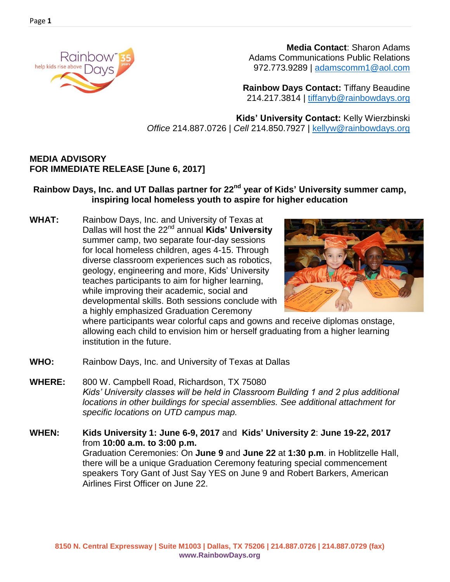

 **Media Contact**: Sharon Adams Adams Communications Public Relations 972.773.9289 | [adamscomm1@aol.com](mailto:adamscomm1@aol.com)

**Rainbow Days Contact:** Tiffany Beaudine 214.217.3814 | [tiffanyb@rainbowdays.org](mailto:tiffanyb@rainbowdays.org)

**Kids' University Contact:** Kelly Wierzbinski *Office* 214.887.0726 | *Cell* 214.850.7927 | [kellyw@rainbowdays.org](mailto:kellyw@rainbowdays.org)

## **MEDIA ADVISORY FOR IMMEDIATE RELEASE [June 6, 2017]**

## **Rainbow Days, Inc. and UT Dallas partner for 22nd year of Kids' University summer camp, inspiring local homeless youth to aspire for higher education**

**WHAT:** Rainbow Days, Inc. and University of Texas at Dallas will host the 22nd annual **Kids' University** summer camp, two separate four-day sessions for local homeless children, ages 4-15. Through diverse classroom experiences such as robotics, geology, engineering and more, Kids' University teaches participants to aim for higher learning, while improving their academic, social and developmental skills. Both sessions conclude with a highly emphasized Graduation Ceremony



where participants wear colorful caps and gowns and receive diplomas onstage, allowing each child to envision him or herself graduating from a higher learning institution in the future.

- **WHO:** Rainbow Days, Inc. and University of Texas at Dallas
- **WHERE:** 800 W. Campbell Road, Richardson, TX 75080 *Kids' University classes will be held in Classroom Building 1 and 2 plus additional locations in other buildings for special assemblies. See additional attachment for specific locations on UTD campus map.*
- **WHEN: Kids University 1: June 6-9, 2017** and **Kids' University 2**: **June 19-22, 2017** from **10:00 a.m. to 3:00 p.m.** Graduation Ceremonies: On **June 9** and **June 22** at **1:30 p.m**. in Hoblitzelle Hall, there will be a unique Graduation Ceremony featuring special commencement speakers Tory Gant of Just Say YES on June 9 and Robert Barkers, American Airlines First Officer on June 22.